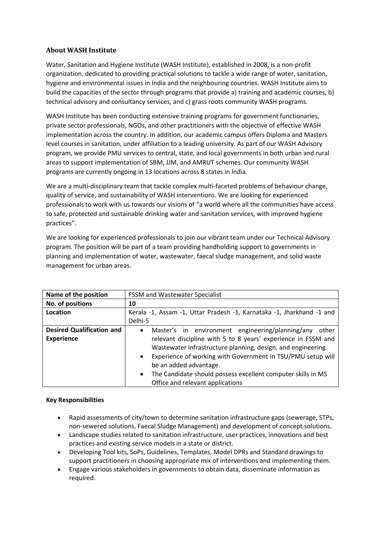# **About WASH Institute**

Water, Sanitation and Hygiene Institute (WASH Institute), established in 2008, is a non-profit organization, dedicated to providing practical solutions to tackle a wide range of water, sanitation, hygiene and environmental issues in India and the neighbouring countries. WASH Institute aims to build the capacities of the sector through programs that provide a) training and academic courses, b) technical advisory and consultancy services, and c) grass roots community WASH programs.

WASH Institute has been conducting extensive training programs for government functionaries, private sector professionals, NGOs, and other practitioners with the objective of effective WASH implementation across the country. In addition, our academic campus offers Diploma and Masters level courses in sanitation, under affiliation to a leading university. As part of our WASH Advisory program, we provide PMU services to central, state, and local governments in both urban and rural areas to support implementation of SBM, JJM, and AMRUT schemes. Our community WASH programs are currently ongoing in 13 locations across 8 states in India.

We are a multi-disciplinary team that tackle complex multi-faceted problems of behaviour change, quality of service, and sustainability of WASH interventions. We are looking for experienced professionals to work with us towards our visions of "a world where all the communities have access to safe, protected and sustainable drinking water and sanitation services, with improved hygiene practices".

We are looking for experienced professionals to join our vibrant team under our Technical Advisory program. The position will be part of a team providing handholding support to governments in planning and implementation of water, wastewater, faecal sludge management, and solid waste management for urban areas.

| Name of the position                                  | <b>FSSM and Wastewater Specialist</b>                                                                                                                                                                                                                                                                                                                                                                             |
|-------------------------------------------------------|-------------------------------------------------------------------------------------------------------------------------------------------------------------------------------------------------------------------------------------------------------------------------------------------------------------------------------------------------------------------------------------------------------------------|
| No. of positions                                      | 10                                                                                                                                                                                                                                                                                                                                                                                                                |
| Location                                              | Kerala -1, Assam -1, Uttar Pradesh -1, Karnataka -1, Jharkhand -1 and<br>Delhi-5                                                                                                                                                                                                                                                                                                                                  |
| <b>Desired Qualification and</b><br><b>Experience</b> | Master's in environment engineering/planning/any<br>other<br>$\bullet$<br>relevant discipline with 5 to 8 years' experience in FSSM and<br>Wastewater infrastructure planning, design, and engineering.<br>Experience of working with Government in TSU/PMU setup will<br>be an added advantage.<br>The Candidate should possess excellent computer skills in MS<br>$\bullet$<br>Office and relevant applications |

## **Key Responsibilities**

- Rapid assessments of city/town to determine sanitation infrastructure gaps (sewerage, STPs, non-sewered solutions, Faecal Sludge Management) and development of concept solutions.
- Landscape studies related to sanitation infrastructure, user practices, innovations and best practices and existing service models in a state or district.
- Developing Tool kits, SoPs, Guidelines, Templates, Model DPRs and Standard drawings to support practitioners in choosing appropriate mix of interventions and implementing them.
- Engage various stakeholders in governments to obtain data, disseminate information as required.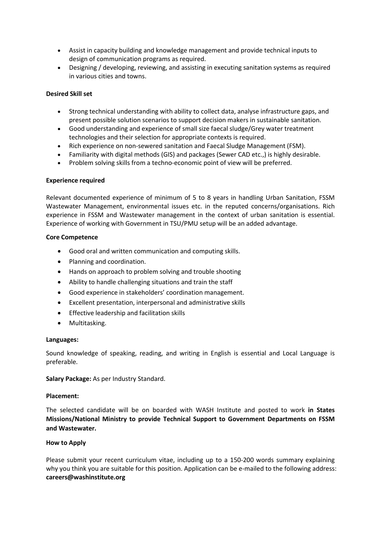- Assist in capacity building and knowledge management and provide technical inputs to design of communication programs as required.
- Designing / developing, reviewing, and assisting in executing sanitation systems as required in various cities and towns.

## **Desired Skill set**

- Strong technical understanding with ability to collect data, analyse infrastructure gaps, and present possible solution scenarios to support decision makers in sustainable sanitation.
- Good understanding and experience of small size faecal sludge/Grey water treatment technologies and their selection for appropriate contexts is required.
- Rich experience on non-sewered sanitation and Faecal Sludge Management (FSM).
- Familiarity with digital methods (GIS) and packages (Sewer CAD etc.,) is highly desirable.
- Problem solving skills from a techno-economic point of view will be preferred.

## **Experience required**

Relevant documented experience of minimum of 5 to 8 years in handling Urban Sanitation, FSSM Wastewater Management, environmental issues etc. in the reputed concerns/organisations. Rich experience in FSSM and Wastewater management in the context of urban sanitation is essential. Experience of working with Government in TSU/PMU setup will be an added advantage.

### **Core Competence**

- Good oral and written communication and computing skills.
- Planning and coordination.
- Hands on approach to problem solving and trouble shooting
- Ability to handle challenging situations and train the staff
- Good experience in stakeholders' coordination management.
- Excellent presentation, interpersonal and administrative skills
- **•** Effective leadership and facilitation skills
- Multitasking.

#### **Languages:**

Sound knowledge of speaking, reading, and writing in English is essential and Local Language is preferable.

**Salary Package:** As per Industry Standard.

### **Placement:**

The selected candidate will be on boarded with WASH Institute and posted to work **in States Missions/National Ministry to provide Technical Support to Government Departments on FSSM and Wastewater.**

## **How to Apply**

Please submit your recent curriculum vitae, including up to a 150-200 words summary explaining why you think you are suitable for this position. Application can be e-mailed to the following address: **careers@washinstitute.org**